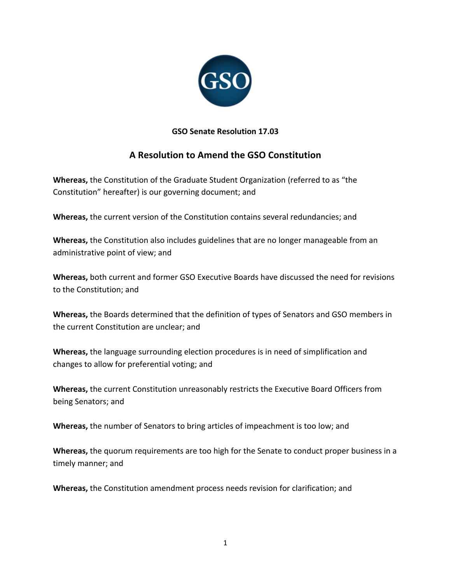

# **GSO Senate Resolution 17.03**

# **A Resolution to Amend the GSO Constitution**

 **Whereas,** the Constitution of the Graduate Student Organization (referred to as "the Constitution" hereafter) is our governing document; and

Whereas, the current version of the Constitution contains several redundancies; and

Whereas, the Constitution also includes guidelines that are no longer manageable from an administrative point of view; and

Whereas, both current and former GSO Executive Boards have discussed the need for revisions to the Constitution; and

Whereas, the Boards determined that the definition of types of Senators and GSO members in the current Constitution are unclear; and

 **Whereas,** the language surrounding election procedures is in need of simplification and changes to allow for preferential voting; and

Whereas, the current Constitution unreasonably restricts the Executive Board Officers from being Senators; and

Whereas, the number of Senators to bring articles of impeachment is too low; and

Whereas, the quorum requirements are too high for the Senate to conduct proper business in a timely manner; and

 **Whereas,** the Constitution amendment process needs revision for clarification; and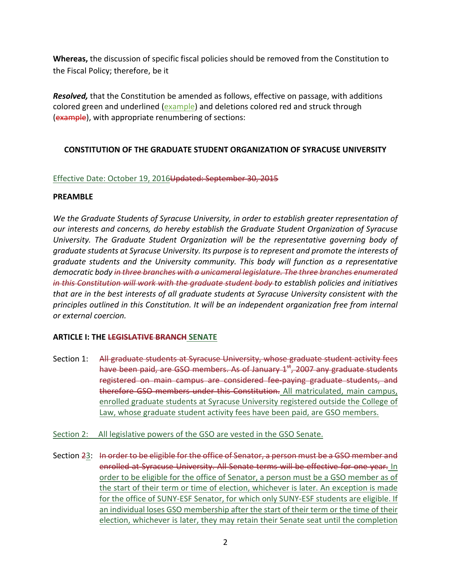Whereas, the discussion of specific fiscal policies should be removed from the Constitution to the Fiscal Policy; therefore, be it

Resolved, that the Constitution be amended as follows, effective on passage, with additions colored green and underlined (example) and deletions colored red and struck through (example), with appropriate renumbering of sections:

# **CONSTITUTION OF THE GRADUATE STUDENT ORGANIZATION OF SYRACUSE UNIVERSITY**

## Effective Date: October 19, 2016Updated: September 30, 2015

#### **PREAMBLE**

We the Graduate Students of Syracuse University, in order to establish greater representation of  *our interests and concerns, do hereby establish the Graduate Student Organization of Syracuse University. The Graduate Student Organization will be the representative governing body of* graduate students at Syracuse University. Its purpose is to represent and promote the interests of  *graduate students and the University community. This body will function as a representative* democratic body i<del>n three branches with a unicameral legislature. The three branches enumerated</del> in this Constitution will work with the graduate student body to establish policies and initiatives that are in the best interests of all graduate students at Syracuse University consistent with the principles outlined in this Constitution. It will be an independent organization free from internal  *or external coercion.*

#### **ARTICLE I: THE LEGISLATIVE BRANCH SENATE**

- Section 1: All graduate students at Syracuse University, whose graduate student activity fees have been paid, are GSO members. As of January 1<sup>st</sup>, 2007 any graduate students registered on main campus are considered fee-paying graduate students, and therefore GSO members under this Constitution. All matriculated, main campus, enrolled graduate students at Syracuse University registered outside the College of Law, whose graduate student activity fees have been paid, are GSO members.
- Section 2: All legislative powers of the GSO are vested in the GSO Senate.
- Section 23: In order to be eligible for the office of Senator, a person must be a GSO member and enrolled at Syracuse University. All Senate terms will be effective for one year. In order to be eligible for the office of Senator, a person must be a GSO member as of the start of their term or time of election, whichever is later. An exception is made for the office of SUNY-ESF Senator, for which only SUNY-ESF students are eligible. If an individual loses GSO membership after the start of their term or the time of their election, whichever is later, they may retain their Senate seat until the completion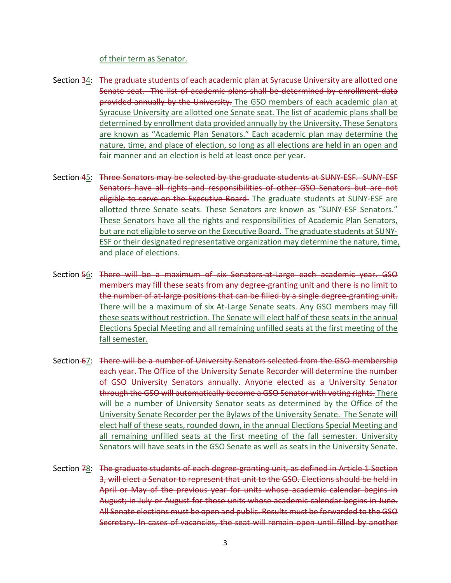#### of their term as Senator.

- Section 34: The graduate students of each academic plan at Syracuse University are allotted one Senate seat. The list of academic plans shall be determined by enrollment data provided annually by the University. The GSO members of each academic plan at Syracuse University are allotted one Senate seat. The list of academic plans shall be determined by enrollment data provided annually by the University. These Senators are known as "Academic Plan Senators." Each academic plan may determine the nature, time, and place of election, so long as all elections are held in an open and fair manner and an election is held at least once per year.
- Section 45: Three Senators may be selected by the graduate students at SUNY-ESF. SUNY-ESF Senators have all rights and responsibilities of other GSO Senators but are not eligible to serve on the Executive Board. The graduate students at SUNY-ESF are allotted three Senate seats. These Senators are known as "SUNY-ESF Senators." These Senators have all the rights and responsibilities of Academic Plan Senators, but are not eligible to serve on the Executive Board. The graduate students at SUNY- ESF or their designated representative organization may determine the nature, time, and place of elections.
- Section 56: There will be a maximum of six Senators-at-Large each academic year. GSO members may fill these seats from any degree-granting unit and there is no limit to the number of at-large positions that can be filled by a single degree-granting unit. There will be a maximum of six At-Large Senate seats. Any GSO members may fill these seats without restriction. The Senate will elect half of these seats in the annual Elections Special Meeting and all remaining unfilled seats at the first meeting of the fall semester.
- Section 67: There will be a number of University Senators selected from the GSO membership each year. The Office of the University Senate Recorder will determine the number of GSO University Senators annually. Anyone elected as a University Senator through the GSO will automatically become a GSO Senator with voting rights. There will be a number of University Senator seats as determined by the Office of the University Senate Recorder per the Bylaws of the University Senate. The Senate will elect half of these seats, rounded down, in the annual Elections Special Meeting and all remaining unfilled seats at the first meeting of the fall semester. University Senators will have seats in the GSO Senate as well as seats in the University Senate.
- Section 78: The graduate students of each degree-granting unit, as defined in Article 1 Section 3, will elect a Senator to represent that unit to the GSO. Elections should be held in April or May of the previous year for units whose academic calendar begins in August; in July or August for those units whose academic calendar begins in June. All Senate elections must be open and public. Results must be forwarded to the GSO Secretary. In cases of vacancies, the seat will remain open until filled by another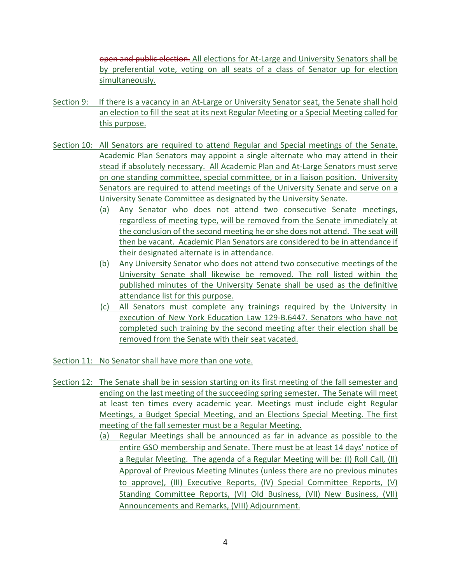open and public election. All elections for At-Large and University Senators shall be by preferential vote, voting on all seats of a class of Senator up for election simultaneously.

- Section 9: If there is a vacancy in an At-Large or University Senator seat, the Senate shall hold an election to fill the seat at its next Regular Meeting or a Special Meeting called for this purpose.
- Section 10: All Senators are required to attend Regular and Special meetings of the Senate. Academic Plan Senators may appoint a single alternate who may attend in their stead if absolutely necessary. All Academic Plan and At-Large Senators must serve on one standing committee, special committee, or in a liaison position. University Senators are required to attend meetings of the University Senate and serve on a University Senate Committee as designated by the University Senate.
	- (a) Any Senator who does not attend two consecutive Senate meetings, regardless of meeting type, will be removed from the Senate immediately at the conclusion of the second meeting he or she does not attend. The seat will then be vacant. Academic Plan Senators are considered to be in attendance if their designated alternate is in attendance.
	- (b) Any University Senator who does not attend two consecutive meetings of the University Senate shall likewise be removed. The roll listed within the published minutes of the University Senate shall be used as the definitive attendance list for this purpose.
	- (c) All Senators must complete any trainings required by the University in execution of New York Education Law 129-B.6447. Senators who have not completed such training by the second meeting after their election shall be removed from the Senate with their seat vacated.
- Section 11: No Senator shall have more than one vote.
- Section 12: The Senate shall be in session starting on its first meeting of the fall semester and ending on the last meeting of the succeeding spring semester. The Senate will meet at least ten times every academic year. Meetings must include eight Regular Meetings, a Budget Special Meeting, and an Elections Special Meeting. The first meeting of the fall semester must be a Regular Meeting.
	- (a) Regular Meetings shall be announced as far in advance as possible to the entire GSO membership and Senate. There must be at least 14 days' notice of a Regular Meeting. The agenda of a Regular Meeting will be: (I) Roll Call, (II) Approval of Previous Meeting Minutes (unless there are no previous minutes to approve), (III) Executive Reports, (IV) Special Committee Reports, (V) Standing Committee Reports, (VI) Old Business, (VII) New Business, (VII) Announcements and Remarks, (VIII) Adjournment.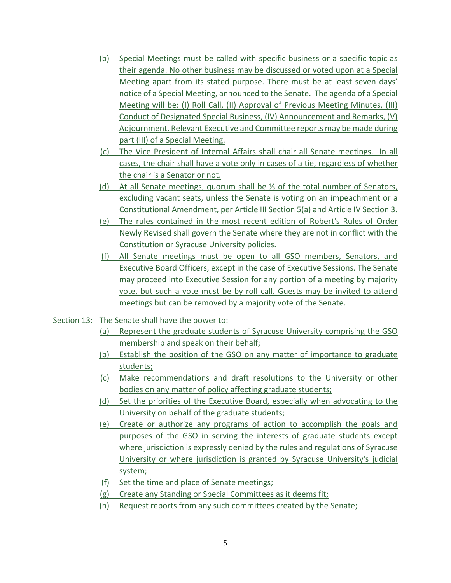- (b) Special Meetings must be called with specific business or a specific topic as their agenda. No other business may be discussed or voted upon at a Special Meeting apart from its stated purpose. There must be at least seven days' notice of a Special Meeting, announced to the Senate. The agenda of a Special Meeting will be: (I) Roll Call, (II) Approval of Previous Meeting Minutes, (III) Conduct of Designated Special Business, (IV) Announcement and Remarks, (V) Adjournment. Relevant Executive and Committee reports may be made during part (III) of a Special Meeting.
- (c) The Vice President of Internal Affairs shall chair all Senate meetings. In all cases, the chair shall have a vote only in cases of a tie, regardless of whether the chair is a Senator or not.
- (d) At all Senate meetings, quorum shall be ⅓ of the total number of Senators, excluding vacant seats, unless the Senate is voting on an impeachment or a Constitutional Amendment, per Article III Section 5(a) and Article IV Section 3.
- (e) The rules contained in the most recent edition of Robert's Rules of Order Newly Revised shall govern the Senate where they are not in conflict with the Constitution or Syracuse University policies.
- (f) All Senate meetings must be open to all GSO members, Senators, and may proceed into Executive Session for any portion of a meeting by majority vote, but such a vote must be by roll call. Guests may be invited to attend meetings but can be removed by a majority vote of the Senate. Executive Board Officers, except in the case of Executive Sessions. The Senate
- Section 13: The Senate shall have the power to:
	- (a) Represent the graduate students of Syracuse University comprising the GSO membership and speak on their behalf;
	- (b) Establish the position of the GSO on any matter of importance to graduate students;
	- (c) Make recommendations and draft resolutions to the University or other bodies on any matter of policy affecting graduate students;
	- (d) Set the priorities of the Executive Board, especially when advocating to the University on behalf of the graduate students;
	- (e) Create or authorize any programs of action to accomplish the goals and purposes of the GSO in serving the interests of graduate students except where jurisdiction is expressly denied by the rules and regulations of Syracuse University or where jurisdiction is granted by Syracuse University's judicial system;
	- (f) Set the time and place of Senate meetings;
	- (g) Create any Standing or Special Committees as it deems fit;
	- (h) Request reports from any such committees created by the Senate;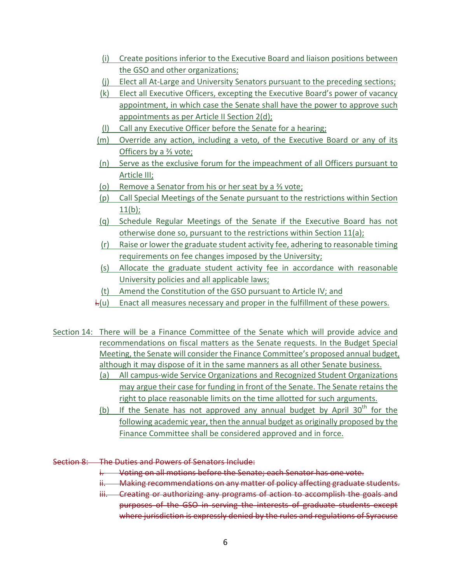- (i) Create positions inferior to the Executive Board and liaison positions between the GSO and other organizations;
- (j) Elect all At-Large and University Senators pursuant to the preceding sections;
- (k) Elect all Executive Officers, excepting the Executive Board's power of vacancy appointment, in which case the Senate shall have the power to approve such appointments as per Article II Section 2(d);
- (I) Call any Executive Officer before the Senate for a hearing;
- (m) Override any action, including a veto, of the Executive Board or any of its Officers by a <sup>2</sup>⁄<sub>2</sub> vote;
- (n) Serve as the exclusive forum for the impeachment of all Officers pursuant to Article III;
- (o) Remove a Senator from his or her seat by a <sup>3</sup> yote;
- (p) Call Special Meetings of the Senate pursuant to the restrictions within Section  $11(b)$ ;
- (q) Schedule Regular Meetings of the Senate if the Executive Board has not otherwise done so, pursuant to the restrictions within Section  $11(a)$ ;
- (r) Raise or lower the graduate student activity fee, adhering to reasonable timing requirements on fee changes imposed by the University;
- (s) Allocate the graduate student activity fee in accordance with reasonable University policies and all applicable laws;
- (t) Amend the Constitution of the GSO pursuant to Article IV; and
- i.(u) Enact all measures necessary and proper in the fulfillment of these powers.
- Section 14: There will be a Finance Committee of the Senate which will provide advice and recommendations on fiscal matters as the Senate requests. In the Budget Special Meeting, the Senate will consider the Finance Committee's proposed annual budget, although it may dispose of it in the same manners as all other Senate business.
	- (a) All campus-wide Service Organizations and Recognized Student Organizations may argue their case for funding in front of the Senate. The Senate retains the right to place reasonable limits on the time allotted for such arguments.
	- (b) If the Senate has not approved any annual budget by April  $30<sup>th</sup>$  for the following academic year, then the annual budget as originally proposed by the Finance Committee shall be considered approved and in force.
- Section 8: The Duties and Powers of Senators Include:
	- i. Voting on all motions before the Senate; each Senator has one vote.
	- ii. Making recommendations on any matter of policy affecting graduate students.
	- iii. Creating or authorizing any programs of action to accomplish the goals and purposes of the GSO in serving the interests of graduate students except where jurisdiction is expressly denied by the rules and regulations of Syracuse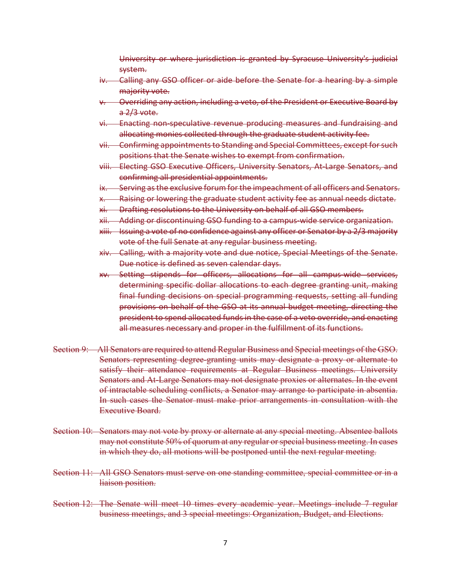University or where jurisdiction is granted by Syracuse University's judicial system.

- iv. Calling any GSO officer or aide before the Senate for a hearing by a simple majority vote.
- v. Overriding any action, including a veto, of the President or Executive Board by a 2/3 vote.
- vi. Enacting non-speculative revenue producing measures and fundraising and allocating monies collected through the graduate student activity fee.
- vii. Confirming appointments to Standing and Special Committees, except for such positions that the Senate wishes to exempt from confirmation.
- viii. Electing GSO Executive Officers, University Senators, At-Large Senators, and confirming all presidential appointments.
- ix. Serving as the exclusive forum for the impeachment of all officers and Senators.
- x. Raising or lowering the graduate student activity fee as annual needs dictate.
- xi. Drafting resolutions to the University on behalf of all GSO members.
- xii. Adding or discontinuing GSO funding to a campus-wide service organization.
- xiii. Issuing a vote of no confidence against any officer or Senator by a 2/3 majority vote of the full Senate at any regular business meeting.
- xiv. Calling, with a majority vote and due notice, Special Meetings of the Senate. Due notice is defined as seven calendar days.
- xv. Setting stipends for officers, allocations for all campus-wide services, determining specific dollar allocations to each degree granting unit, making final funding decisions on special programming requests, setting all funding provisions on behalf of the GSO at its annual budget meeting, directing the president to spend allocated funds in the case of a veto override, and enacting all measures necessary and proper in the fulfillment of its functions.
- Section 9: All Senators are required to attend Regular Business and Special meetings of the GSO. Senators representing degree-granting units may designate a proxy or alternate to satisfy their attendance requirements at Regular Business meetings. University Senators and At-Large Senators may not designate proxies or alternates. In the event of intractable scheduling conflicts, a Senator may arrange to participate in absentia. In such cases the Senator must make prior arrangements in consultation with the Executive Board.
- Section 10: Senators may not vote by proxy or alternate at any special meeting. Absentee ballots may not constitute 50% of quorum at any regular or special business meeting. In cases in which they do, all motions will be postponed until the next regular meeting.
- Section 11: All GSO Senators must serve on one standing committee, special committee or in a liaison position.
- Section 12: The Senate will meet 10 times every academic year. Meetings include 7 regular business meetings, and 3 special meetings: Organization, Budget, and Elections.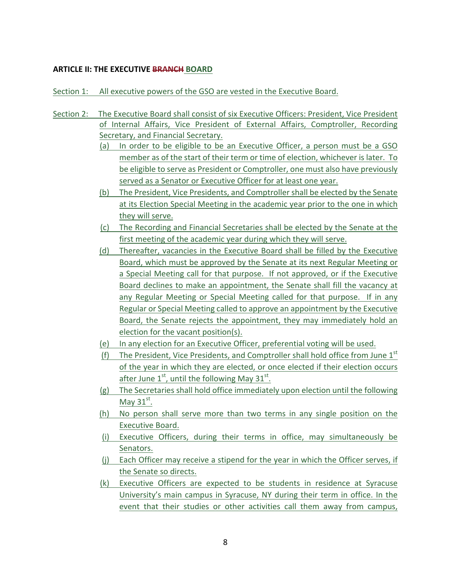## **ARTICLE II: THE EXECUTIVE BRANCH BOARD**

Section 1: All executive powers of the GSO are vested in the Executive Board.

- Section 2: The Executive Board shall consist of six Executive Officers: President, Vice President of Internal Affairs, Vice President of External Affairs, Comptroller, Recording Secretary, and Financial Secretary.
	- (a) In order to be eligible to be an Executive Officer, a person must be a GSO member as of the start of their term or time of election, whichever is later. To be eligible to serve as President or Comptroller, one must also have previously served as a Senator or Executive Officer for at least one year.
	- (b) The President, Vice Presidents, and Comptroller shall be elected by the Senate at its Election Special Meeting in the academic year prior to the one in which they will serve.
	- (c) The Recording and Financial Secretaries shall be elected by the Senate at the first meeting of the academic year during which they will serve.
	- (d) Thereafter, vacancies in the Executive Board shall be filled by the Executive Board, which must be approved by the Senate at its next Regular Meeting or a Special Meeting call for that purpose. If not approved, or if the Executive Board declines to make an appointment, the Senate shall fill the vacancy at any Regular Meeting or Special Meeting called for that purpose. If in any Regular or Special Meeting called to approve an appointment by the Executive Board, the Senate rejects the appointment, they may immediately hold an election for the vacant position(s).
	- (e) In any election for an Executive Officer, preferential voting will be used.
	- (f) The President, Vice Presidents, and Comptroller shall hold office from June  $1<sup>st</sup>$ of the year in which they are elected, or once elected if their election occurs after June  $1^{st}$ , until the following May  $31^{st}$ .
	- (g) The Secretaries shall hold office immediately upon election until the following May  $31^{st}$ .
	- (h) No person shall serve more than two terms in any single position on the Executive Board.
	- (i) Executive Officers, during their terms in office, may simultaneously be Senators.
	- (j) Each Officer may receive a stipend for the year in which the Officer serves, if the Senate so directs.
	- (k) Executive Officers are expected to be students in residence at Syracuse University's main campus in Syracuse, NY during their term in office. In the event that their studies or other activities call them away from campus,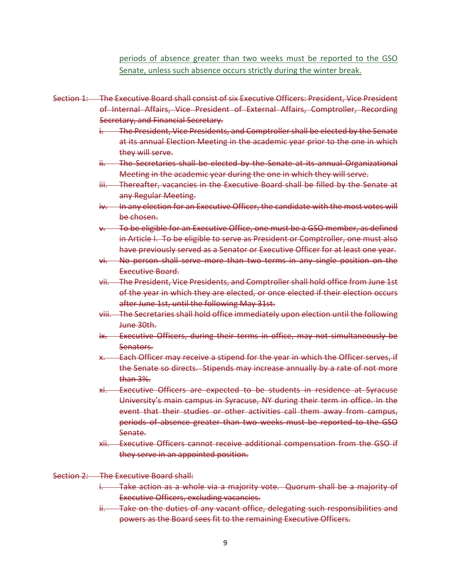periods of absence greater than two weeks must be reported to the GSO Senate, unless such absence occurs strictly during the winter break.

- Section 1: The Executive Board shall consist of six Executive Officers: President, Vice President of Internal Affairs, Vice President of External Affairs, Comptroller, Recording Secretary, and Financial Secretary.
	- i. The President, Vice Presidents, and Comptroller shall be elected by the Senate at its annual Election Meeting in the academic year prior to the one in which they will serve.
	- ii. The Secretaries shall be elected by the Senate at its annual Organizational Meeting in the academic year during the one in which they will serve.
	- iii. Thereafter, vacancies in the Executive Board shall be filled by the Senate at any Regular Meeting.
	- iv. In any election for an Executive Officer, the candidate with the most votes will be chosen.
	- v. To be eligible for an Executive Office, one must be a GSO member, as defined in Article I. To be eligible to serve as President or Comptroller, one must also have previously served as a Senator or Executive Officer for at least one year.
	- vi. No person shall serve more than two terms in any single position on the Executive Board.
	- vii. The President, Vice Presidents, and Comptroller shall hold office from June 1st of the year in which they are elected, or once elected if their election occurs after June 1st, until the following May 31st.
	- viii. The Secretaries shall hold office immediately upon election until the following June 30th.
	- ix. Executive Officers, during their terms in office, may not simultaneously be Senators.
	- x. Each Officer may receive a stipend for the year in which the Officer serves, if the Senate so directs. Stipends may increase annually by a rate of not more than 3%.
	- xi. Executive Officers are expected to be students in residence at Syracuse University's main campus in Syracuse, NY during their term in office. In the event that their studies or other activities call them away from campus, periods of absence greater than two weeks must be reported to the GSO Senate.
	- xii. Executive Officers cannot receive additional compensation from the GSO if they serve in an appointed position.

#### Section 2: The Executive Board shall:

- i. Take action as a whole via a majority vote. Quorum shall be a majority of Executive Officers, excluding vacancies.
- ii. Take on the duties of any vacant office, delegating such responsibilities and powers as the Board sees fit to the remaining Executive Officers.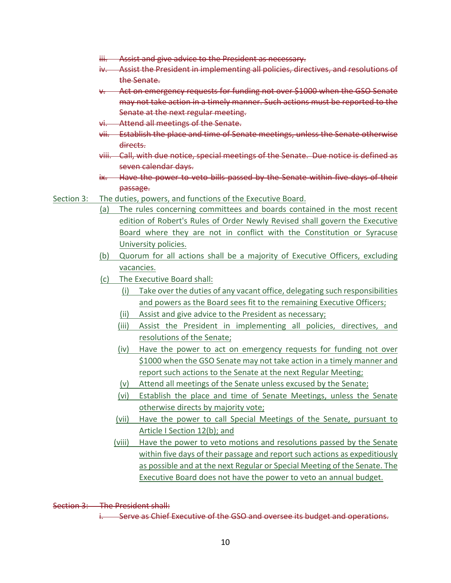- iii. Assist and give advice to the President as necessary.
- iv. Assist the President in implementing all policies, directives, and resolutions of the Senate.
- v. Act on emergency requests for funding not over \$1000 when the GSO Senate may not take action in a timely manner. Such actions must be reported to the Senate at the next regular meeting.
- vi. Attend all meetings of the Senate.
- vii. Establish the place and time of Senate meetings, unless the Senate otherwise directs.
- viii. Call, with due notice, special meetings of the Senate. Due notice is defined as seven calendar days.
- ix. Have the power to veto bills passed by the Senate within five days of their passage.
- Section 3: The duties, powers, and functions of the Executive Board.
	- (a) The rules concerning committees and boards contained in the most recent edition of Robert's Rules of Order Newly Revised shall govern the Executive Board where they are not in conflict with the Constitution or Syracuse University policies.
	- (b) Quorum for all actions shall be a majority of Executive Officers, excluding vacancies.
	- (c) The Executive Board shall:
		- (i) Take over the duties of any vacant office, delegating such responsibilities and powers as the Board sees fit to the remaining Executive Officers;
		- (ii) Assist and give advice to the President as necessary;
		- (iii) Assist the President in implementing all policies, directives, and resolutions of the Senate;
		- (iv) Have the power to act on emergency requests for funding not over \$1000 when the GSO Senate may not take action in a timely manner and report such actions to the Senate at the next Regular Meeting;
		- (v) Attend all meetings of the Senate unless excused by the Senate;
		- (vi) Establish the place and time of Senate Meetings, unless the Senate otherwise directs by majority vote;
		- (vii) Have the power to call Special Meetings of the Senate, pursuant to Article I Section 12(b); and
		- (viii) Have the power to veto motions and resolutions passed by the Senate within five days of their passage and report such actions as expeditiously as possible and at the next Regular or Special Meeting of the Senate. The Executive Board does not have the power to veto an annual budget.

Section 3: The President shall:

i. Serve as Chief Executive of the GSO and oversee its budget and operations.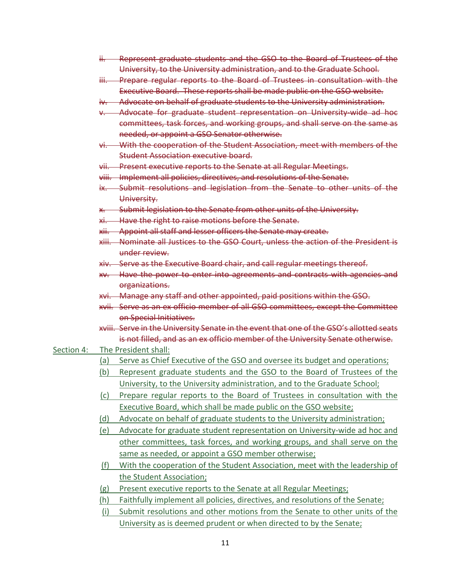- ii. Represent graduate students and the GSO to the Board of Trustees of the University, to the University administration, and to the Graduate School.
- iii. Prepare regular reports to the Board of Trustees in consultation with the Executive Board. These reports shall be made public on the GSO website.
- iv. Advocate on behalf of graduate students to the University administration.
- v. Advocate for graduate student representation on University-wide ad hoc committees, task forces, and working groups, and shall serve on the same as needed, or appoint a GSO Senator otherwise.
- vi. With the cooperation of the Student Association, meet with members of the Student Association executive board.
- vii. Present executive reports to the Senate at all Regular Meetings.
- viii. Implement all policies, directives, and resolutions of the Senate.
- ix. Submit resolutions and legislation from the Senate to other units of the University.
- x. Submit legislation to the Senate from other units of the University.
- xi. Have the right to raise motions before the Senate.
- xii. Appoint all staff and lesser officers the Senate may create.
- xiii. Nominate all Justices to the GSO Court, unless the action of the President is under review.
- xiv. Serve as the Executive Board chair, and call regular meetings thereof.
- xv. Have the power to enter into agreements and contracts with agencies and organizations.
- xvi. Manage any staff and other appointed, paid positions within the GSO.
- xvii. Serve as an ex officio member of all GSO committees, except the Committee on Special Initiatives.
- xviii. Serve in the University Senate in the event that one of the GSO's allotted seats is not filled, and as an ex officio member of the University Senate otherwise.

#### Section 4: The President shall:

- (a) Serve as Chief Executive of the GSO and oversee its budget and operations;
- (b) Represent graduate students and the GSO to the Board of Trustees of the University, to the University administration, and to the Graduate School;
- (c) Prepare regular reports to the Board of Trustees in consultation with the Executive Board, which shall be made public on the GSO website;
- (d) Advocate on behalf of graduate students to the University administration;
- (e) Advocate for graduate student representation on University-wide ad hoc and other committees, task forces, and working groups, and shall serve on the same as needed, or appoint a GSO member otherwise;
- (f) With the cooperation of the Student Association, meet with the leadership of the Student Association;
- (g) Present executive reports to the Senate at all Regular Meetings;
- (h) Faithfully implement all policies, directives, and resolutions of the Senate;
- (i) Submit resolutions and other motions from the Senate to other units of the University as is deemed prudent or when directed to by the Senate;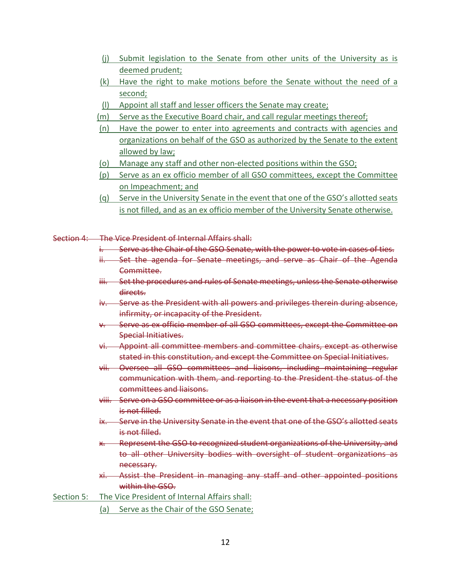- (j) Submit legislation to the Senate from other units of the University as is deemed prudent;
- (k) Have the right to make motions before the Senate without the need of a second;
- (I) Appoint all staff and lesser officers the Senate may create;
- (m) Serve as the Executive Board chair, and call regular meetings thereof;
- (n) Have the power to enter into agreements and contracts with agencies and organizations on behalf of the GSO as authorized by the Senate to the extent allowed by law;
- (o) Manage any staff and other non-elected positions within the GSO;
- (p) Serve as an ex officio member of all GSO committees, except the Committee on Impeachment; and
- (q) Serve in the University Senate in the event that one of the GSO's allotted seats is not filled, and as an ex officio member of the University Senate otherwise.
- Section 4: The Vice President of Internal Affairs shall:
	- i. Serve as the Chair of the GSO Senate, with the power to vote in cases of ties.
	- ii. Set the agenda for Senate meetings, and serve as Chair of the Agenda Committee.
	- iii. Set the procedures and rules of Senate meetings, unless the Senate otherwise directs.
	- iv. Serve as the President with all powers and privileges therein during absence, infirmity, or incapacity of the President.
	- v. Serve as ex officio member of all GSO committees, except the Committee on Special Initiatives.
	- vi. Appoint all committee members and committee chairs, except as otherwise stated in this constitution, and except the Committee on Special Initiatives.
	- vii. Oversee all GSO committees and liaisons, including maintaining regular communication with them, and reporting to the President the status of the committees and liaisons.
	- viii. Serve on a GSO committee or as a liaison in the event that a necessary position is not filled.
	- ix. Serve in the University Senate in the event that one of the GSO's allotted seats is not filled.
	- x. Represent the GSO to recognized student organizations of the University, and to all other University bodies with oversight of student organizations as necessary.
	- xi. Assist the President in managing any staff and other appointed positions within the GSO.
- Section 5: The Vice President of Internal Affairs shall:
	- (a) Serve as the Chair of the GSO Senate;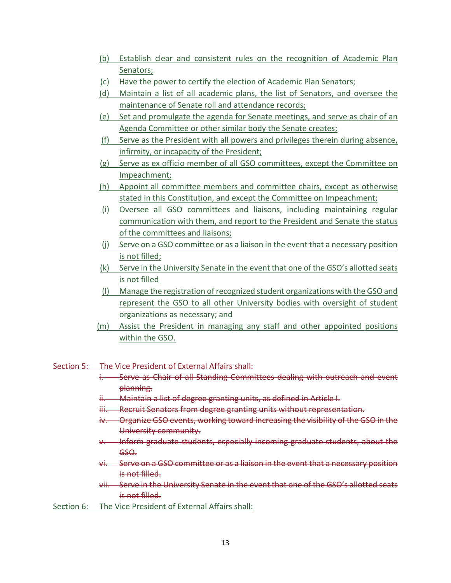- (b) Establish clear and consistent rules on the recognition of Academic Plan Senators;
- (c) Have the power to certify the election of Academic Plan Senators;
- (d) Maintain a list of all academic plans, the list of Senators, and oversee the maintenance of Senate roll and attendance records;
- (e) Set and promulgate the agenda for Senate meetings, and serve as chair of an Agenda Committee or other similar body the Senate creates;
- (f) Serve as the President with all powers and privileges therein during absence, infirmity, or incapacity of the President;
- (g) Serve as ex officio member of all GSO committees, except the Committee on Impeachment;
- (h) Appoint all committee members and committee chairs, except as otherwise stated in this Constitution, and except the Committee on Impeachment;
- (i) Oversee all GSO committees and liaisons, including maintaining regular communication with them, and report to the President and Senate the status of the committees and liaisons;
- (j) Serve on a GSO committee or as a liaison in the event that a necessary position is not filled;
- (k) Serve in the University Senate in the event that one of the GSO's allotted seats is not filled
- (I) Manage the registration of recognized student organizations with the GSO and represent the GSO to all other University bodies with oversight of student organizations as necessary; and
- (m) Assist the President in managing any staff and other appointed positions within the GSO.
- Section 5: The Vice President of External Affairs shall:
	- i. Serve as Chair of all Standing Committees dealing with outreach and event planning.
	- ii. Maintain a list of degree granting units, as defined in Article I.
	- iii. Recruit Senators from degree granting units without representation.
	- iv. Organize GSO events, working toward increasing the visibility of the GSO in the University community.
	- v. Inform graduate students, especially incoming graduate students, about the GSO.
	- vi. Serve on a GSO committee or as a liaison in the event that a necessary position is not filled.
	- vii. Serve in the University Senate in the event that one of the GSO's allotted seats is not filled.
- Section 6: The Vice President of External Affairs shall: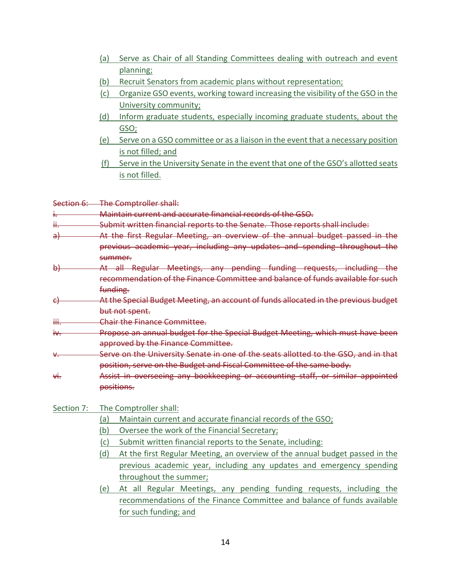- (a) Serve as Chair of all Standing Committees dealing with outreach and event planning;
- (b) Recruit Senators from academic plans without representation;
- (c) Organize GSO events, working toward increasing the visibility of the GSO in the University community;
- (d) Inform graduate students, especially incoming graduate students, about the GSO;
- (e) Serve on a GSO committee or as a liaison in the event that a necessary position is not filled; and
- (f) Serve in the University Senate in the event that one of the GSO's allotted seats is not filled.

Section 6: The Comptroller shall:

i. Maintain current and accurate financial records of the GSO.

- ii. Submit written financial reports to the Senate. Those reports shall include:
- a) **At the first Regular Meeting, an overview of the annual budget passed in the** previous academic year, including any updates and spending throughout the summer.
- b) **At all Regular Meetings, any pending funding requests, including the**  recommendation of the Finance Committee and balance of funds available for such funding.
- c) **At the Special Budget Meeting, an account of funds allocated in the previous budget** but not spent.
- iii. **Chair the Finance Committee.**
- iv. Propose an annual budget for the Special Budget Meeting, which must have been approved by the Finance Committee.
- v. Serve on the University Senate in one of the seats allotted to the GSO, and in that position, serve on the Budget and Fiscal Committee of the same body.
- vi. Assist in overseeing any bookkeeping or accounting staff, or similar appointed positions.

Section 7: The Comptroller shall:

- (a) Maintain current and accurate financial records of the GSO;
- (b) Oversee the work of the Financial Secretary;
- (c) Submit written financial reports to the Senate, including:
- (d) At the first Regular Meeting, an overview of the annual budget passed in the previous academic year, including any updates and emergency spending throughout the summer;
- (e) At all Regular Meetings, any pending funding requests, including the recommendations of the Finance Committee and balance of funds available for such funding; and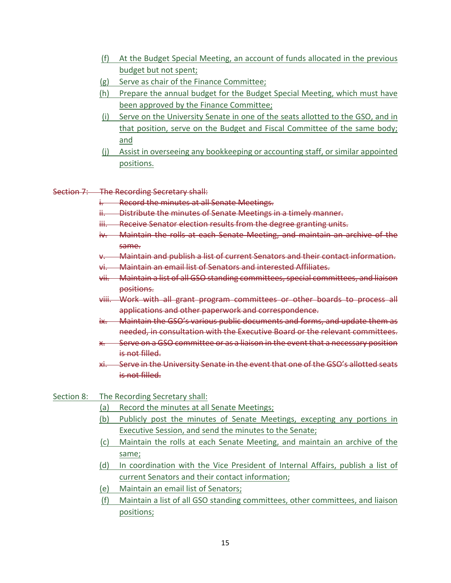- (f) At the Budget Special Meeting, an account of funds allocated in the previous budget but not spent;
- (g) Serve as chair of the Finance Committee;
- (h) Prepare the annual budget for the Budget Special Meeting, which must have been approved by the Finance Committee;
- (i) Serve on the University Senate in one of the seats allotted to the GSO, and in that position, serve on the Budget and Fiscal Committee of the same body; and
- (j) Assist in overseeing any bookkeeping or accounting staff, or similar appointed positions.

## Section 7: The Recording Secretary shall:

- i. Record the minutes at all Senate Meetings.
- ii. Distribute the minutes of Senate Meetings in a timely manner.
- iii. Receive Senator election results from the degree granting units.
- iv. Maintain the rolls at each Senate Meeting, and maintain an archive of the same.
- v. Maintain and publish a list of current Senators and their contact information.
- vi. Maintain an email list of Senators and interested Affiliates.
- vii. Maintain a list of all GSO standing committees, special committees, and liaison positions.
- viii. Work with all grant program committees or other boards to process all applications and other paperwork and correspondence.
- ix. Maintain the GSO's various public documents and forms, and update them as needed, in consultation with the Executive Board or the relevant committees.
- x. Serve on a GSO committee or as a liaison in the event that a necessary position is not filled.
- xi. Serve in the University Senate in the event that one of the GSO's allotted seats is not filled.

## Section 8: The Recording Secretary shall:

- (a) Record the minutes at all Senate Meetings;
- (b) Publicly post the minutes of Senate Meetings, excepting any portions in Executive Session, and send the minutes to the Senate;
- (c) Maintain the rolls at each Senate Meeting, and maintain an archive of the same;
- (d) In coordination with the Vice President of Internal Affairs, publish a list of current Senators and their contact information;
- (e) Maintain an email list of Senators;
- (f) Maintain a list of all GSO standing committees, other committees, and liaison positions;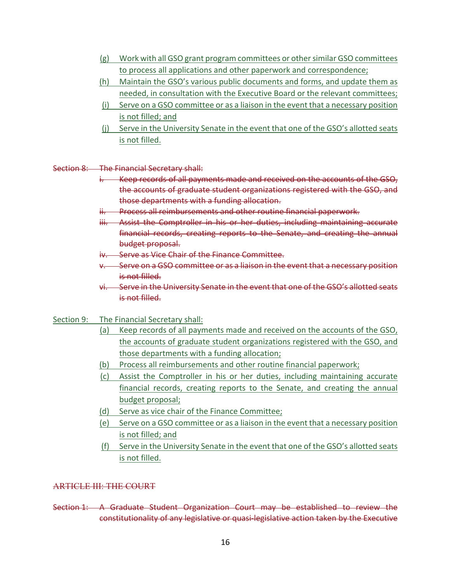- (g) Work with all GSO grant program committees or other similar GSO committees to process all applications and other paperwork and correspondence;
- (h) Maintain the GSO's various public documents and forms, and update them as needed, in consultation with the Executive Board or the relevant committees;
- (i) Serve on a GSO committee or as a liaison in the event that a necessary position is not filled; and
- (j) Serve in the University Senate in the event that one of the GSO's allotted seats is not filled.
- Section 8: The Financial Secretary shall:
	- i. Keep records of all payments made and received on the accounts of the GSO, the accounts of graduate student organizations registered with the GSO, and those departments with a funding allocation.
	- ii. Process all reimbursements and other routine financial paperwork.
	- iii. Assist the Comptroller in his or her duties, including maintaining accurate financial records, creating reports to the Senate, and creating the annual budget proposal.
	- iv. Serve as Vice Chair of the Finance Committee.
	- v. Serve on a GSO committee or as a liaison in the event that a necessary position is not filled.
	- vi. Serve in the University Senate in the event that one of the GSO's allotted seats is not filled.
- Section 9: The Financial Secretary shall:
	- (a) Keep records of all payments made and received on the accounts of the GSO, the accounts of graduate student organizations registered with the GSO, and those departments with a funding allocation;
	- (b) Process all reimbursements and other routine financial paperwork;
	- (c) Assist the Comptroller in his or her duties, including maintaining accurate financial records, creating reports to the Senate, and creating the annual budget proposal;
	- (d) Serve as vice chair of the Finance Committee;
	- (e) Serve on a GSO committee or as a liaison in the event that a necessary position is not filled; and
	- (f) Serve in the University Senate in the event that one of the GSO's allotted seats is not filled.

## ARTICLE III: THE COURT

Section 1: A Graduate Student Organization Court may be established to review the constitutionality of any legislative or quasi-legislative action taken by the Executive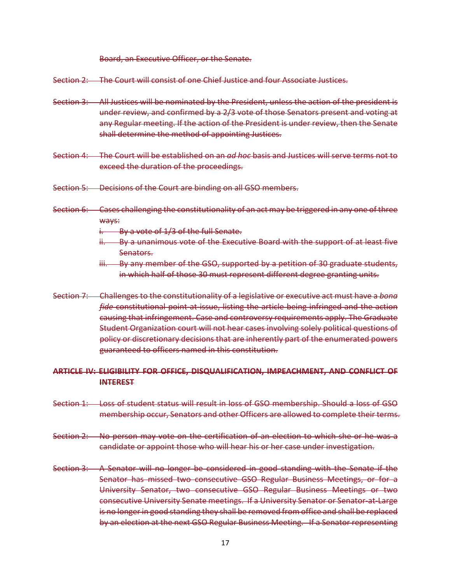Board, an Executive Officer, or the Senate.

Section 2: The Court will consist of one Chief Justice and four Associate Justices.

- Section 3: All Justices will be nominated by the President, unless the action of the president is under review, and confirmed by a 2/3 vote of those Senators present and voting at any Regular meeting. If the action of the President is under review, then the Senate shall determine the method of appointing Justices.
- Section 4: The Court will be established on an *ad hoc* basis and Justices will serve terms not to exceed the duration of the proceedings.
- Section 5: Decisions of the Court are binding on all GSO members.
- Section 6: Cases challenging the constitutionality of an act may be triggered in any one of three ways:
	- $i.$  By a vote of  $1/3$  of the full Senate.
	- ii. By a unanimous vote of the Executive Board with the support of at least five Senators.
	- iii. By any member of the GSO, supported by a petition of 30 graduate students, in which half of those 30 must represent different degree granting units.
- Section 7: Challenges to the constitutionality of a legislative or executive act must have a *bona fide* constitutional point-at-issue, listing the article being infringed and the action causing that infringement. Case and controversy requirements apply. The Graduate Student Organization court will not hear cases involving solely political questions of policy or discretionary decisions that are inherently part of the enumerated powers guaranteed to officers named in this constitution.

#### **ARTICLE IV: ELIGIBILITY FOR OFFICE, DISQUALIFICATION, IMPEACHMENT, AND CONFLICT OF INTEREST**

- Section 1: Loss of student status will result in loss of GSO membership. Should a loss of GSO membership occur, Senators and other Officers are allowed to complete their terms.
- Section 2: No person may vote on the certification of an election to which she or he was a candidate or appoint those who will hear his or her case under investigation.
- Section 3: A Senator will no longer be considered in good standing with the Senate if the Senator has missed two consecutive GSO Regular Business Meetings, or for a University Senator, two consecutive GSO Regular Business Meetings or two consecutive University Senate meetings. If a University Senator or Senator-at-Large is no longer in good standing they shall be removed from office and shall be replaced by an election at the next GSO Regular Business Meeting. If a Senator representing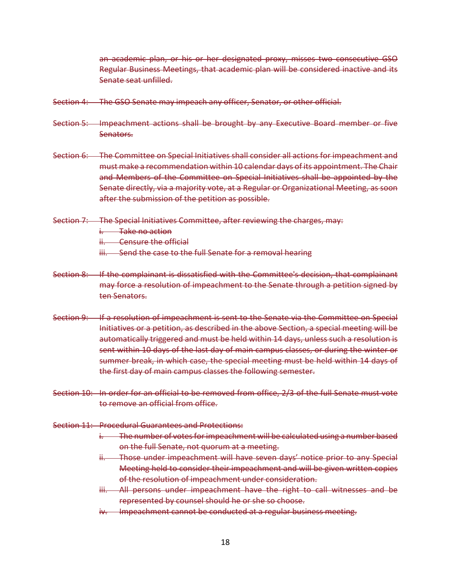an academic plan, or his or her designated proxy, misses two consecutive GSO Regular Business Meetings, that academic plan will be considered inactive and its Senate seat unfilled.

- Section 4: The GSO Senate may impeach any officer, Senator, or other official.
- Section 5: Impeachment actions shall be brought by any Executive Board member or five Senators.
- Section 6: The Committee on Special Initiatives shall consider all actions for impeachment and must make a recommendation within 10 calendar days of its appointment. The Chair and Members of the Committee on Special Initiatives shall be appointed by the Senate directly, via a majority vote, at a Regular or Organizational Meeting, as soon after the submission of the petition as possible.
- Section 7: The Special Initiatives Committee, after reviewing the charges, may:

i. Take no action

ii. Censure the official

- iii. Send the case to the full Senate for a removal hearing
- Section 8: If the complainant is dissatisfied with the Committee's decision, that complainant may force a resolution of impeachment to the Senate through a petition signed by ten Senators.
- Section 9: If a resolution of impeachment is sent to the Senate via the Committee on Special Initiatives or a petition, as described in the above Section, a special meeting will be automatically triggered and must be held within 14 days, unless such a resolution is sent within 10 days of the last day of main campus classes, or during the winter or summer break, in which case, the special meeting must be held within 14 days of the first day of main campus classes the following semester.
- Section 10: In order for an official to be removed from office, 2/3 of the full Senate must vote to remove an official from office.
- Section 11: Procedural Guarantees and Protections:
	- i. The number of votes for impeachment will be calculated using a number based on the full Senate, not quorum at a meeting.
	- ii. Those under impeachment will have seven days' notice prior to any Special Meeting held to consider their impeachment and will be given written copies of the resolution of impeachment under consideration.
	- iii. All persons under impeachment have the right to call witnesses and be represented by counsel should he or she so choose.
	- iv. Impeachment cannot be conducted at a regular business meeting.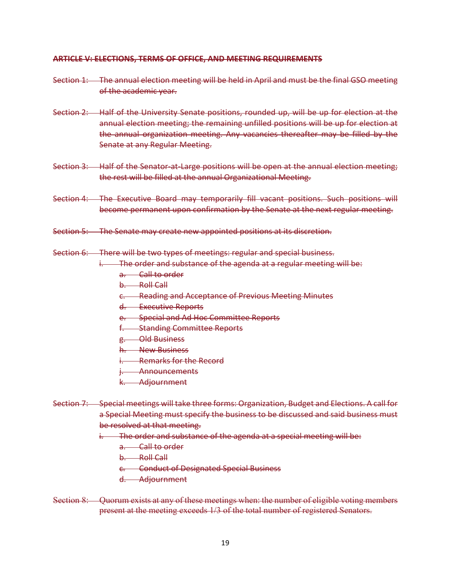## **ARTICLE V: ELECTIONS, TERMS OF OFFICE, AND MEETING REQUIREMENTS**

- Section 1: The annual election meeting will be held in April and must be the final GSO meeting of the academic year.
- Section 2: Half of the University Senate positions, rounded up, will be up for election at the annual election meeting; the remaining unfilled positions will be up for election at the annual organization meeting. Any vacancies thereafter may be filled by the Senate at any Regular Meeting.
- Section 3: Half of the Senator-at-Large positions will be open at the annual election meeting; the rest will be filled at the annual Organizational Meeting.
- Section 4: The Executive Board may temporarily fill vacant positions. Such positions will become permanent upon confirmation by the Senate at the next regular meeting.
- Section 5: The Senate may create new appointed positions at its discretion.
- Section 6: There will be two types of meetings: regular and special business.
	- i. The order and substance of the agenda at a regular meeting will be:
		- a. Call to order
		- b. Roll Call
		- c. Reading and Acceptance of Previous Meeting Minutes
		- d. Executive Reports
		- e. Special and Ad Hoc Committee Reports
		- f. Standing Committee Reports
		- g. Old Business
		- h. New Business
		- i. Remarks for the Record
		- i. Announcements
		- k. Adjournment
- Section 7: Special meetings will take three forms: Organization, Budget and Elections. A call for a Special Meeting must specify the business to be discussed and said business must be resolved at that meeting.
	- i. The order and substance of the agenda at a special meeting will be:
		- a. Call to order
		- b. Roll Call
		- c. Conduct of Designated Special Business
		- d. Adjournment
- Section 8: Quorum exists at any of these meetings when: the number of eligible voting members present at the meeting exceeds 1/3 of the total number of registered Senators.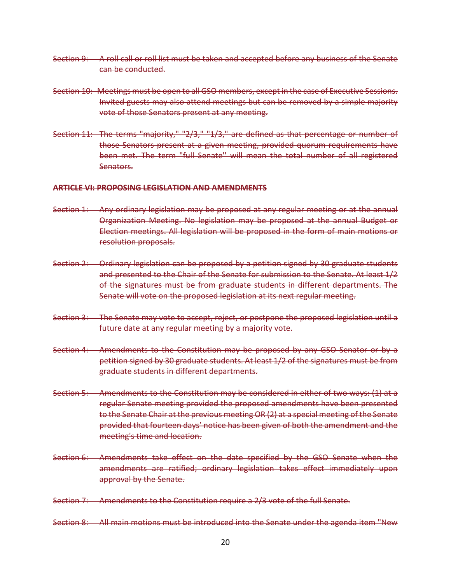- Section 9: A roll call or roll list must be taken and accepted before any business of the Senate can be conducted.
- Section 10: Meetings must be open to all GSO members, except in the case of Executive Sessions. Invited guests may also attend meetings but can be removed by a simple majority vote of those Senators present at any meeting.
- Section 11: The terms "majority," "2/3," "1/3," are defined as that percentage or number of those Senators present at a given meeting, provided quorum requirements have been met. The term "full Senate'' will mean the total number of all registered Senators.

#### **ARTICLE VI: PROPOSING LEGISLATION AND AMENDMENTS**

- Section 1: Any ordinary legislation may be proposed at any regular meeting or at the annual Organization Meeting. No legislation may be proposed at the annual Budget or Election meetings. All legislation will be proposed in the form of main motions or resolution proposals.
- Section 2: Ordinary legislation can be proposed by a petition signed by 30 graduate students and presented to the Chair of the Senate for submission to the Senate. At least 1/2 of the signatures must be from graduate students in different departments. The Senate will vote on the proposed legislation at its next regular meeting.
- Section 3: The Senate may vote to accept, reject, or postpone the proposed legislation until a future date at any regular meeting by a majority vote.
- Section 4: Amendments to the Constitution may be proposed by any GSO Senator or by a petition signed by 30 graduate students. At least 1/2 of the signatures must be from graduate students in different departments.
- Section 5: Amendments to the Constitution may be considered in either of two ways: (1) at a regular Senate meeting provided the proposed amendments have been presented to the Senate Chair at the previous meeting OR (2) at a special meeting of the Senate provided that fourteen days' notice has been given of both the amendment and the meeting's time and location.
- Section 6: Amendments take effect on the date specified by the GSO Senate when the amendments are ratified; ordinary legislation takes effect immediately upon approval by the Senate.

Section 7: Amendments to the Constitution require a 2/3 vote of the full Senate.

Section 8: All main motions must be introduced into the Senate under the agenda item "New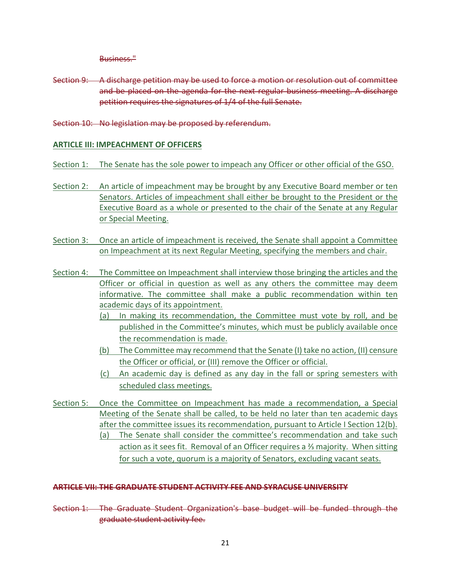Business."

- Section 9: A discharge petition may be used to force a motion or resolution out of committee and be placed on the agenda for the next regular business meeting. A discharge petition requires the signatures of 1/4 of the full Senate.
- Section 10: No legislation may be proposed by referendum.

## **ARTICLE III: IMPEACHMENT OF OFFICERS**

- Section 1: The Senate has the sole power to impeach any Officer or other official of the GSO.
- Section 2: An article of impeachment may be brought by any Executive Board member or ten Senators. Articles of impeachment shall either be brought to the President or the Executive Board as a whole or presented to the chair of the Senate at any Regular or Special Meeting.
- Section 3: Once an article of impeachment is received, the Senate shall appoint a Committee on Impeachment at its next Regular Meeting, specifying the members and chair.
- Section 4: The Committee on Impeachment shall interview those bringing the articles and the Officer or official in question as well as any others the committee may deem informative. The committee shall make a public recommendation within ten academic days of its appointment.
	- (a) In making its recommendation, the Committee must vote by roll, and be published in the Committee's minutes, which must be publicly available once the recommendation is made.
	- (b) The Committee may recommend that the Senate (I) take no action, (II) censure the Officer or official, or (III) remove the Officer or official.
	- (c) An academic day is defined as any day in the fall or spring semesters with scheduled class meetings.
- Section 5: Once the Committee on Impeachment has made a recommendation, a Special Meeting of the Senate shall be called, to be held no later than ten academic days after the committee issues its recommendation, pursuant to Article I Section 12(b). (a) The Senate shall consider the committee's recommendation and take such action as it sees fit. Removal of an Officer requires a <sup>3</sup> majority. When sitting for such a vote, quorum is a majority of Senators, excluding vacant seats.

## **ARTICLE VII: THE GRADUATE STUDENT ACTIVITY FEE AND SYRACUSE UNIVERSITY**

Section 1: The Graduate Student Organization's base budget will be funded through the graduate student activity fee.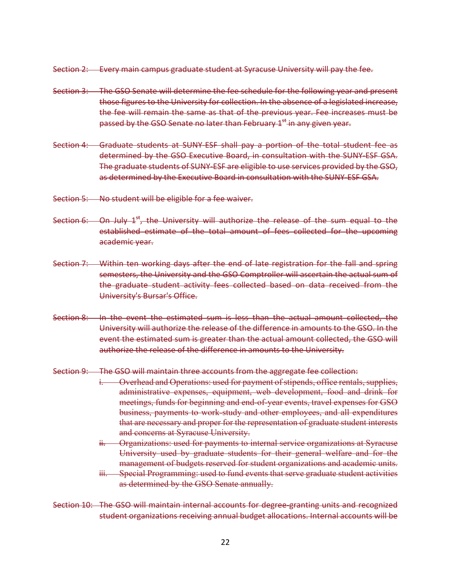Section 2: Every main campus graduate student at Syracuse University will pay the fee.

- Section 3: The GSO Senate will determine the fee schedule for the following year and present those figures to the University for collection. In the absence of a legislated increase, the fee will remain the same as that of the previous year. Fee increases must be passed by the GSO Senate no later than February  $1^\mathrm{st}$  in any given year.
- Section 4: Graduate students at SUNY-ESF shall pay a portion of the total student fee as determined by the GSO Executive Board, in consultation with the SUNY-ESF GSA. The graduate students of SUNY-ESF are eligible to use services provided by the GSO, as determined by the Executive Board in consultation with the SUNY-ESF GSA.
- Section 5: No student will be eligible for a fee waiver.
- Section 6: On July  $1^{st}$ , the University will authorize the release of the sum equal to the established estimate of the total amount of fees collected for the upcoming academic year.
- Section 7: Within ten working days after the end of late registration for the fall and spring semesters, the University and the GSO Comptroller will ascertain the actual sum of the graduate student activity fees collected based on data received from the University's Bursar's Office.
- Section 8: In the event the estimated sum is less than the actual amount collected, the University will authorize the release of the difference in amounts to the GSO. In the event the estimated sum is greater than the actual amount collected, the GSO will authorize the release of the difference in amounts to the University.
- Section 9: The GSO will maintain three accounts from the aggregate fee collection:
	- i. Overhead and Operations: used for payment of stipends, office rentals, supplies, administrative expenses, equipment, web development, food and drink for meetings, funds for beginning and end-of-year events, travel expenses for GSO business, payments to work-study and other employees, and all expenditures that are necessary and proper for the representation of graduate student interests and concerns at Syracuse University.
	- ii. Organizations: used for payments to internal service organizations at Syracuse University used by graduate students for their general welfare and for the management of budgets reserved for student organizations and academic units.
	- iii. Special Programming: used to fund events that serve graduate student activities as determined by the GSO Senate annually.
- Section 10: The GSO will maintain internal accounts for degree-granting units and recognized student organizations receiving annual budget allocations. Internal accounts will be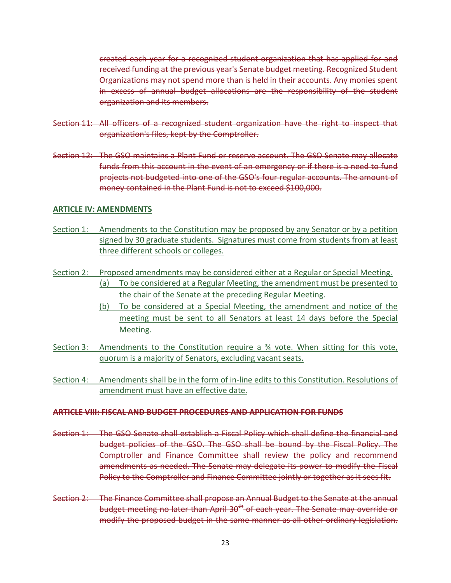created each year for a recognized student organization that has applied for and received funding at the previous year's Senate budget meeting. Recognized Student Organizations may not spend more than is held in their accounts. Any monies spent in excess of annual budget allocations are the responsibility of the student organization and its members.

- Section 11: All officers of a recognized student organization have the right to inspect that organization's files, kept by the Comptroller.
- Section 12: The GSO maintains a Plant Fund or reserve account. The GSO Senate may allocate funds from this account in the event of an emergency or if there is a need to fund projects not budgeted into one of the GSO's four regular accounts. The amount of money contained in the Plant Fund is not to exceed \$100,000.

#### **ARTICLE IV: AMENDMENTS**

- Section 1: Amendments to the Constitution may be proposed by any Senator or by a petition signed by 30 graduate students. Signatures must come from students from at least three different schools or colleges.
- Section 2: Proposed amendments may be considered either at a Regular or Special Meeting. (a) To be considered at a Regular Meeting, the amendment must be presented to the chair of the Senate at the preceding Regular Meeting.
	- (b) To be considered at a Special Meeting, the amendment and notice of the meeting must be sent to all Senators at least 14 days before the Special Meeting.
- Section 3: Amendments to the Constitution require a 34 vote. When sitting for this vote, quorum is a majority of Senators, excluding vacant seats.
- Section 4: Amendments shall be in the form of in-line edits to this Constitution. Resolutions of amendment must have an effective date.

## **ARTICLE VIII: FISCAL AND BUDGET PROCEDURES AND APPLICATION FOR FUNDS**

- Section 1: The GSO Senate shall establish a Fiscal Policy which shall define the financial and budget policies of the GSO. The GSO shall be bound by the Fiscal Policy. The Comptroller and Finance Committee shall review the policy and recommend amendments as needed. The Senate may delegate its power to modify the Fiscal Policy to the Comptroller and Finance Committee jointly or together as it sees fit.
- Section 2: The Finance Committee shall propose an Annual Budget to the Senate at the annual budget meeting no later than April 30<sup>th</sup> of each year. The Senate may override or modify the proposed budget in the same manner as all other ordinary legislation.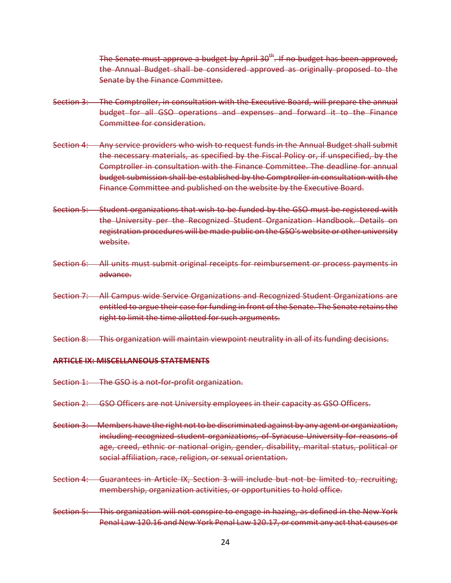The Senate must approve a budget by April 30<sup>th</sup>. If no budget has been approved, the Annual Budget shall be considered approved as originally proposed to the Senate by the Finance Committee.

- Section 3: The Comptroller, in consultation with the Executive Board, will prepare the annual budget for all GSO operations and expenses and forward it to the Finance Committee for consideration.
- Section 4: Any service providers who wish to request funds in the Annual Budget shall submit the necessary materials, as specified by the Fiscal Policy or, if unspecified, by the Comptroller in consultation with the Finance Committee. The deadline for annual budget submission shall be established by the Comptroller in consultation with the Finance Committee and published on the website by the Executive Board.
- Section 5: Student organizations that wish to be funded by the GSO must be registered with the University per the Recognized Student Organization Handbook. Details on registration procedures will be made public on the GSO's website or other university website.
- Section 6: All units must submit original receipts for reimbursement or process payments in advance.
- Section 7: All Campus wide Service Organizations and Recognized Student Organizations are entitled to argue their case for funding in front of the Senate. The Senate retains the right to limit the time allotted for such arguments.
- Section 8: This organization will maintain viewpoint neutrality in all of its funding decisions.

## **ARTICLE IX: MISCELLANEOUS STATEMENTS**

- Section 1: The GSO is a not-for-profit organization.
- Section 2: GSO Officers are not University employees in their capacity as GSO Officers.
- Section 3: Members have the right not to be discriminated against by any agent or organization, including recognized student organizations, of Syracuse University for reasons of age, creed, ethnic or national origin, gender, disability, marital status, political or social affiliation, race, religion, or sexual orientation.
- Section 4: Guarantees in Article IX, Section 3 will include but not be limited to, recruiting, membership, organization activities, or opportunities to hold office.
- Section 5: This organization will not conspire to engage in hazing, as defined in the New York Penal Law 120.16 and New York Penal Law 120.17, or commit any act that causes or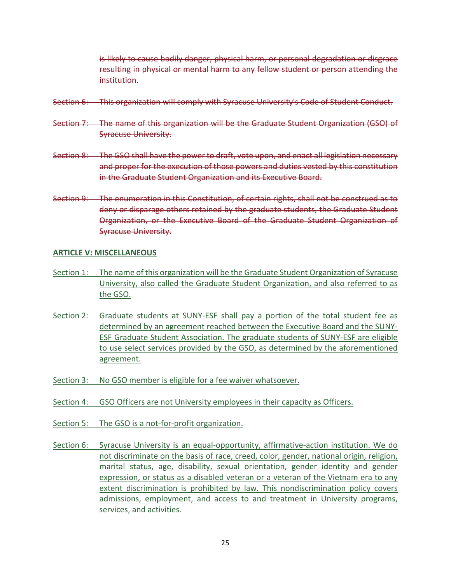is likely to cause bodily danger, physical harm, or personal degradation or disgrace resulting in physical or mental harm to any fellow student or person attending the institution.

- Section 6: This organization will comply with Syracuse University's Code of Student Conduct.
- Section 7: The name of this organization will be the Graduate Student Organization (GSO) of Syracuse University.
- Section 8: The GSO shall have the power to draft, vote upon, and enact all legislation necessary and proper for the execution of those powers and duties vested by this constitution in the Graduate Student Organization and its Executive Board.
- Section 9: The enumeration in this Constitution, of certain rights, shall not be construed as to deny or disparage others retained by the graduate students, the Graduate Student Organization, or the Executive Board of the Graduate Student Organization of Syracuse University.

#### **ARTICLE V: MISCELLANEOUS**

- Section 1: The name of this organization will be the Graduate Student Organization of Syracuse University, also called the Graduate Student Organization, and also referred to as the GSO.
- Section 2: Graduate students at SUNY-ESF shall pay a portion of the total student fee as determined by an agreement reached between the Executive Board and the SUNY-ESF Graduate Student Association. The graduate students of SUNY-ESF are eligible to use select services provided by the GSO, as determined by the aforementioned agreement.
- Section 3: No GSO member is eligible for a fee waiver whatsoever.
- Section 4: GSO Officers are not University employees in their capacity as Officers.
- Section 5: The GSO is a not-for-profit organization.
- Section 6: Syracuse University is an equal-opportunity, affirmative-action institution. We do not discriminate on the basis of race, creed, color, gender, national origin, religion, marital status, age, disability, sexual orientation, gender identity and gender expression, or status as a disabled veteran or a veteran of the Vietnam era to any extent discrimination is prohibited by law. This nondiscrimination policy covers admissions, employment, and access to and treatment in University programs, services, and activities.